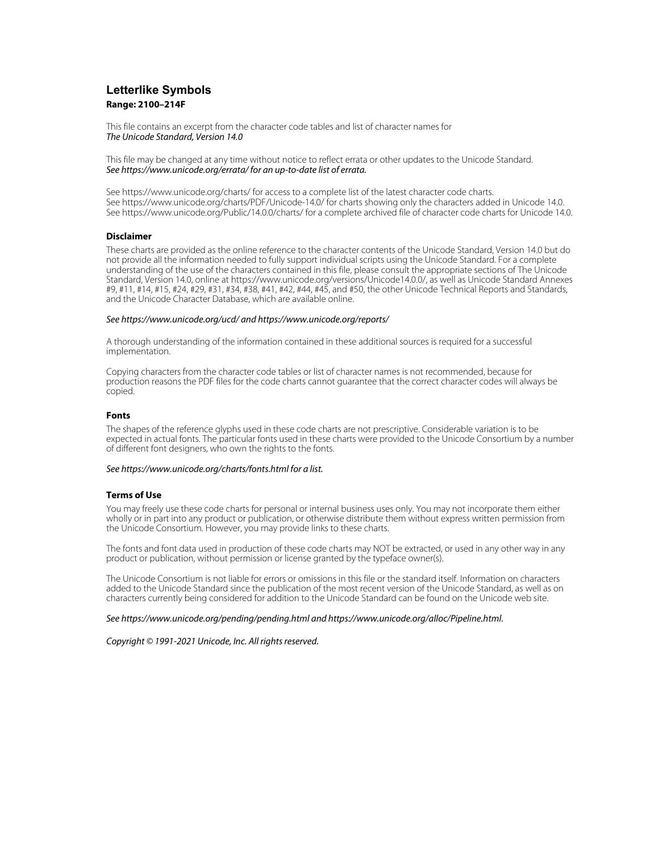## **Letterlike Symbols Range: 2100–214F**

This file contains an excerpt from the character code tables and list of character names for The Unicode Standard, Version 14.0

This file may be changed at any time without notice to reflect errata or other updates to the Unicode Standard. See https://www.unicode.org/errata/ for an up-to-date list of errata.

See https://www.unicode.org/charts/ for access to a complete list of the latest character code charts. See https://www.unicode.org/charts/PDF/Unicode-14.0/ for charts showing only the characters added in Unicode 14.0. See https://www.unicode.org/Public/14.0.0/charts/ for a complete archived file of character code charts for Unicode 14.0.

## **Disclaimer**

These charts are provided as the online reference to the character contents of the Unicode Standard, Version 14.0 but do not provide all the information needed to fully support individual scripts using the Unicode Standard. For a complete understanding of the use of the characters contained in this file, please consult the appropriate sections of The Unicode Standard, Version 14.0, online at https://www.unicode.org/versions/Unicode14.0.0/, as well as Unicode Standard Annexes #9, #11, #14, #15, #24, #29, #31, #34, #38, #41, #42, #44, #45, and #50, the other Unicode Technical Reports and Standards, and the Unicode Character Database, which are available online.

## See https://www.unicode.org/ucd/ and https://www.unicode.org/reports/

A thorough understanding of the information contained in these additional sources is required for a successful implementation.

Copying characters from the character code tables or list of character names is not recommended, because for production reasons the PDF files for the code charts cannot guarantee that the correct character codes will always be copied.

## **Fonts**

The shapes of the reference glyphs used in these code charts are not prescriptive. Considerable variation is to be expected in actual fonts. The particular fonts used in these charts were provided to the Unicode Consortium by a number of different font designers, who own the rights to the fonts.

## See https://www.unicode.org/charts/fonts.html for a list.

## **Terms of Use**

You may freely use these code charts for personal or internal business uses only. You may not incorporate them either wholly or in part into any product or publication, or otherwise distribute them without express written permission from the Unicode Consortium. However, you may provide links to these charts.

The fonts and font data used in production of these code charts may NOT be extracted, or used in any other way in any product or publication, without permission or license granted by the typeface owner(s).

The Unicode Consortium is not liable for errors or omissions in this file or the standard itself. Information on characters added to the Unicode Standard since the publication of the most recent version of the Unicode Standard, as well as on characters currently being considered for addition to the Unicode Standard can be found on the Unicode web site.

### See https://www.unicode.org/pending/pending.html and https://www.unicode.org/alloc/Pipeline.html.

Copyright © 1991-2021 Unicode, Inc. All rights reserved.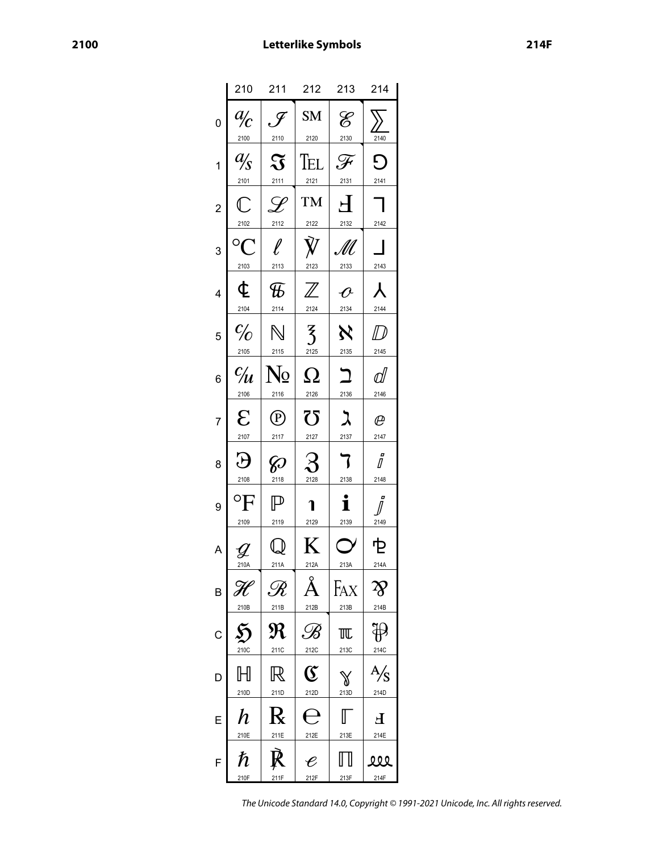|                | 210                                                               | 211                                 | 212                                                              | 213                               | 214                                     |
|----------------|-------------------------------------------------------------------|-------------------------------------|------------------------------------------------------------------|-----------------------------------|-----------------------------------------|
| 0              | $\frac{a}{c}$<br>2100                                             | $\mathscr F$<br>2110                | SM<br>2120                                                       | $\mathscr{E}$<br>2130             | 2140                                    |
| 1              | $\frac{a}{s}$<br>2101                                             | $\mathfrak{F}% _{0}$<br>2111        | Tel<br>2121                                                      | F<br>2131                         | Đ<br>2141                               |
| $\overline{c}$ | $\mathbb{C}$<br>2102                                              | $\overline{\mathscr{L}}$<br>2112    | <b>TM</b><br>2122                                                | $\overline{\mathsf{H}}$<br>2132   | 2142                                    |
| 3              | $^{\circ}C$<br>2103                                               | $\ell$<br>2113                      | $\dot{V}$<br>2123                                                | M<br>2133                         | 2143                                    |
| 4              | ¢<br>2104                                                         | $\mathcal{F}$<br>2114               | $\overline{\mathbb{Z}}$<br>2124                                  | $\boldsymbol{\mathit{C}}$<br>2134 | $\pmb{\lambda}$<br>2144                 |
| 5              | $\frac{c}{c}$<br>2105                                             | $\mathbb N$<br>2115                 | $\overline{3}$<br>2125                                           | $\aleph$<br>2135                  | $D \hspace{-0.5ex} D$<br>2145           |
| 6              | $\frac{c}{u}$<br>2106                                             | N <sub>2</sub><br>2116              | $\Omega$<br>2126                                                 | $\mathbf{L}$<br>2136              | ⅆ<br>2146                               |
| 7              | $\mathcal{E}$<br>2107                                             | $^{\textcircled{\tiny{P}}}$<br>2117 | 75<br>2127                                                       | ス<br>2137                         | $\varrho$<br>2147                       |
| 8              | Э<br>2108                                                         | <b>z</b><br>2118                    | $\mathcal{S}% _{M_{1},M_{2}}^{\alpha,\beta}(\mathbf{A})$<br>2128 | 7<br>2138                         | i<br>2148                               |
| 9              | $\mathrm{^{\circ}F}$<br>2109                                      | $\mathbb P$<br>2119                 | า<br>2129                                                        | i<br>2139                         | O<br>2149                               |
| A              | $\mathcal{Y}% _{M_{1},M_{2}}^{\alpha,\beta}(\varepsilon)$<br>210A | 211A                                | K<br>212A                                                        | 213A                              | 它<br>214A                               |
| B              | 210B                                                              | $\mathscr R$<br>211B                | 212B                                                             | FAX<br>213B                       | $\boldsymbol{\gamma}$<br>214B           |
| C              | 210C                                                              | $\pmb{\mathfrak{R}}$<br>211C        | $\mathscr{B}$<br>212C                                            | 兀<br>213C                         | 214C                                    |
| D              | $\mathbb H$<br>210D                                               | $\mathbb R$<br>211D                 | ${\mathfrak{C}}$<br>212D                                         | ₩<br>213D                         | $\frac{\mathsf{A}}{\mathsf{S}}$<br>214D |
| E              | h<br>210E                                                         | $\mathbf k$<br>211E                 | 212E                                                             | 213E                              | Ł<br>214E                               |
| F              | $\hbar$<br>210F                                                   | 211F                                | $\boldsymbol{\mathscr{C}}$<br>212F                               | 213F                              | 222<br>214F                             |

The Unicode Standard 14.0, Copyright © 1991-2021 Unicode, Inc. All rights reserved.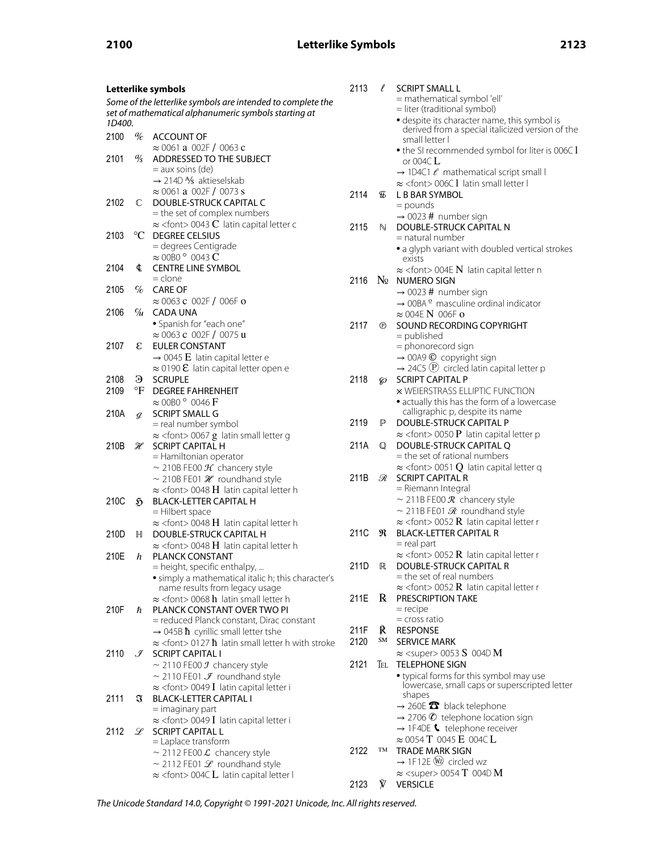| Letterlike symbols                                          |                 | 2113                                                                                | $\ell$ | <b>SCRIPT SMALL L</b>       |                                                                             |
|-------------------------------------------------------------|-----------------|-------------------------------------------------------------------------------------|--------|-----------------------------|-----------------------------------------------------------------------------|
| Some of the letterlike symbols are intended to complete the |                 |                                                                                     |        | = mathematical symbol 'ell' |                                                                             |
|                                                             |                 | set of mathematical alphanumeric symbols starting at                                |        |                             | = liter (traditional symbol)                                                |
| 1D400.                                                      |                 |                                                                                     |        |                             | · despite its character name, this symbol is                                |
| 2100                                                        |                 | $\frac{q}{c}$ ACCOUNT OF                                                            |        |                             | derived from a special italicized version of the<br>small letter I          |
|                                                             |                 | $\approx 0061$ a 002F/0063 c                                                        |        |                             |                                                                             |
| 2101                                                        | $\frac{a}{s}$   | ADDRESSED TO THE SUBJECT                                                            |        |                             | • the SI recommended symbol for liter is 006C I<br>or 004C $L$              |
|                                                             |                 | $=$ aux soins (de)                                                                  |        |                             | $\rightarrow$ 1D4C1 $\ell$ mathematical script small I                      |
|                                                             |                 | $\rightarrow$ 214D $\frac{1}{8}$ aktieselskab                                       |        |                             | $\approx$ <font> 006C <math>\overline{1}</math> latin small letter l</font> |
|                                                             |                 | $\approx 0061$ a 002F/0073 s                                                        | 2114   | БF                          | L B BAR SYMBOL                                                              |
| 2102                                                        | $\mathbb{C}$    | DOUBLE-STRUCK CAPITAL C                                                             |        |                             | $=$ pounds                                                                  |
|                                                             |                 | = the set of complex numbers                                                        |        |                             | $\rightarrow$ 0023 # number sign                                            |
|                                                             |                 | $\approx$ <font> 0043 <b>C</b> latin capital letter c</font>                        | 2115   | N                           | DOUBLE-STRUCK CAPITAL N                                                     |
| 2103                                                        |                 | °C DEGREE CELSIUS                                                                   |        |                             | $=$ natural number                                                          |
|                                                             |                 | = degrees Centigrade                                                                |        |                             | • a glyph variant with doubled vertical strokes                             |
|                                                             |                 | $\approx$ 00<br>B0 $^{\circ}\,$ 0043 $\bf C$                                        |        |                             | exists                                                                      |
| 2104                                                        | ¢               | <b>CENTRE LINE SYMBOL</b>                                                           |        |                             | $\approx$ <font> 004E N latin capital letter n</font>                       |
|                                                             |                 | $=$ clone                                                                           | 2116   |                             | $N_2$ NUMERO SIGN                                                           |
| 2105                                                        | $\%$            | <b>CARE OF</b>                                                                      |        |                             | $\rightarrow$ 0023 # number sign                                            |
|                                                             |                 | $\approx 0063$ c 002F / 006F o                                                      |        |                             | $\rightarrow$ 00BA $^{\circ}$ masculine ordinal indicator                   |
| 2106                                                        |                 | $\%$ CADA UNA                                                                       |        |                             | $\approx$ 004E N 006F o                                                     |
|                                                             |                 | · Spanish for "each one"                                                            | 2117   | $^{\circ}$                  | SOUND RECORDING COPYRIGHT                                                   |
|                                                             |                 | $\approx 0063$ c 002F / 0075 u                                                      |        |                             | $=$ published                                                               |
| 2107                                                        | ε               | <b>EULER CONSTANT</b>                                                               |        |                             | = phonorecord sign                                                          |
|                                                             |                 | $\rightarrow$ 0045 E latin capital letter e                                         |        |                             | $\rightarrow$ 00A9 $\odot$ copyright sign                                   |
|                                                             |                 | $\approx$ 0190 <b>E</b> latin capital letter open e                                 |        |                             | $\rightarrow$ 24C5 $\overline{P}$ circled latin capital letter p            |
| 2108                                                        | Э               | <b>SCRUPLE</b>                                                                      | 2118   | Ø.                          | <b>SCRIPT CAPITAL P</b>                                                     |
| 2109                                                        |                 | °F DEGREE FAHRENHEIT                                                                |        |                             | <b>* WEIERSTRASS ELLIPTIC FUNCTION</b>                                      |
|                                                             |                 | $\approx$ 00B0 $^{\circ}$ 0046 F                                                    |        |                             | · actually this has the form of a lowercase                                 |
| 210A                                                        | $\mathcal{Q}$   | <b>SCRIPT SMALL G</b>                                                               |        |                             | calligraphic p, despite its name                                            |
|                                                             |                 | = real number symbol                                                                | 2119   | P                           | DOUBLE-STRUCK CAPITAL P                                                     |
|                                                             |                 | $\approx$ <font> 0067 g latin small letter g</font>                                 |        |                             | $\approx$ <font> 0050 P latin capital letter p</font>                       |
| 210B                                                        | H               | <b>SCRIPT CAPITAL H</b>                                                             | 211A   | $\mathbb{O}$                | DOUBLE-STRUCK CAPITAL O                                                     |
|                                                             |                 | = Hamiltonian operator                                                              |        |                             | $=$ the set of rational numbers                                             |
|                                                             |                 | $\sim$ 210B FE00 $\mathcal{H}$ chancery style                                       |        |                             | $\approx$ <font> 0051 Q latin capital letter q</font>                       |
|                                                             |                 | $\sim$ 210B FE01 $\mathcal H$ roundhand style                                       | 211B   | R                           | <b>SCRIPT CAPITAL R</b>                                                     |
|                                                             |                 | $\approx$ <font> 0048 H latin capital letter h</font>                               |        |                             | = Riemann Integral                                                          |
| 210C                                                        | $\mathfrak{H}$  | <b>BLACK-LETTER CAPITAL H</b>                                                       |        |                             | $\sim$ 211B FE00 $\mathcal R$ chancery style                                |
|                                                             |                 | = Hilbert space                                                                     |        |                             | $\sim$ 211B FE01 $\Re$ roundhand style                                      |
|                                                             |                 | $\approx$ <font> 0048 H latin capital letter h</font>                               |        |                             | $\approx$ <font> 0052 <b>R</b> latin capital letter r</font>                |
| 210D                                                        | H.              | DOUBLE-STRUCK CAPITAL H                                                             | 211C   | R                           | <b>BLACK-LETTER CAPITAL R</b>                                               |
|                                                             |                 | $\approx$ <font> 0048 H latin capital letter h</font>                               |        |                             | $=$ real part                                                               |
| 210E                                                        | h               | PLANCK CONSTANT                                                                     |        |                             | $\approx$ <font> 0052 <b>R</b> latin capital letter r</font>                |
|                                                             |                 | = height, specific enthalpy,                                                        | 211D   | $\mathbb R$                 | DOUBLE-STRUCK CAPITAL R                                                     |
|                                                             |                 | • simply a mathematical italic h; this character's                                  |        |                             | = the set of real numbers                                                   |
|                                                             |                 | name results from legacy usage                                                      | 211E   | $\bf{R}$                    | $\approx$ <font> 0052 <b>R</b> latin capital letter r</font>                |
|                                                             |                 | $\approx$ <font> 0068 h latin small letter h<br/>PLANCK CONSTANT OVER TWO PI</font> |        |                             | <b>PRESCRIPTION TAKE</b><br>$=$ recipe                                      |
| 210F                                                        | ħ               | = reduced Planck constant, Dirac constant                                           |        |                             | $=$ cross ratio                                                             |
|                                                             |                 | $\rightarrow$ 045B $\hbar$ cyrillic small letter tshe                               | 211F   | R                           | <b>RESPONSE</b>                                                             |
|                                                             |                 | $\approx$ <font> 0127 <math>\hbar</math> latin small letter h with stroke</font>    | 2120   | SM                          | <b>SERVICE MARK</b>                                                         |
| 2110                                                        | $\mathcal{I}^-$ | <b>SCRIPT CAPITAL I</b>                                                             |        |                             | $\approx$ <super> 0053 S 004D M</super>                                     |
|                                                             |                 | $\sim$ 2110 FE00 $J$ chancery style                                                 | 2121   |                             | TEL TELEPHONE SIGN                                                          |
|                                                             |                 | ~ 2110 FE01 $\mathcal F$ roundhand style                                            |        |                             | • typical forms for this symbol may use                                     |
|                                                             |                 | $\approx$ <font> 0049 I latin capital letter i</font>                               |        |                             | lowercase, small caps or superscripted letter                               |
| 2111                                                        | ᡦ               | <b>BLACK-LETTER CAPITAL I</b>                                                       |        |                             | shapes                                                                      |
|                                                             |                 | $=$ imaginary part                                                                  |        |                             | $\rightarrow$ 260E $\bullet$ black telephone                                |
|                                                             |                 | $\approx$ <font> 0049 I latin capital letter i</font>                               |        |                             | $\rightarrow$ 2706 $\odot$ telephone location sign                          |
| 2112                                                        |                 | $\mathscr{L}$ SCRIPT CAPITAL L                                                      |        |                             | $\rightarrow$ 1F4DE $\bullet$ telephone receiver                            |
|                                                             |                 | = Laplace transform                                                                 |        |                             | $\approx$ 0054 T 0045 E 004C L                                              |
|                                                             |                 | ~ 2112 FE00 $\mathcal L$ chancery style                                             | 2122   | TM                          | <b>TRADE MARK SIGN</b>                                                      |
|                                                             |                 | ~ 2112 FE01 $\mathcal L$ roundhand style                                            |        |                             | $\rightarrow$ 1F12E W <sub>2</sub> circled wz                               |
|                                                             |                 | $\approx$ <font> 004CL latin capital letter l</font>                                |        |                             | $\approx$ <super> 0054 T 004D M</super>                                     |
|                                                             |                 |                                                                                     | 2123   | V.                          | <b>VERSICLE</b>                                                             |

The Unicode Standard 14.0, Copyright © 1991-2021 Unicode, Inc. All rights reserved.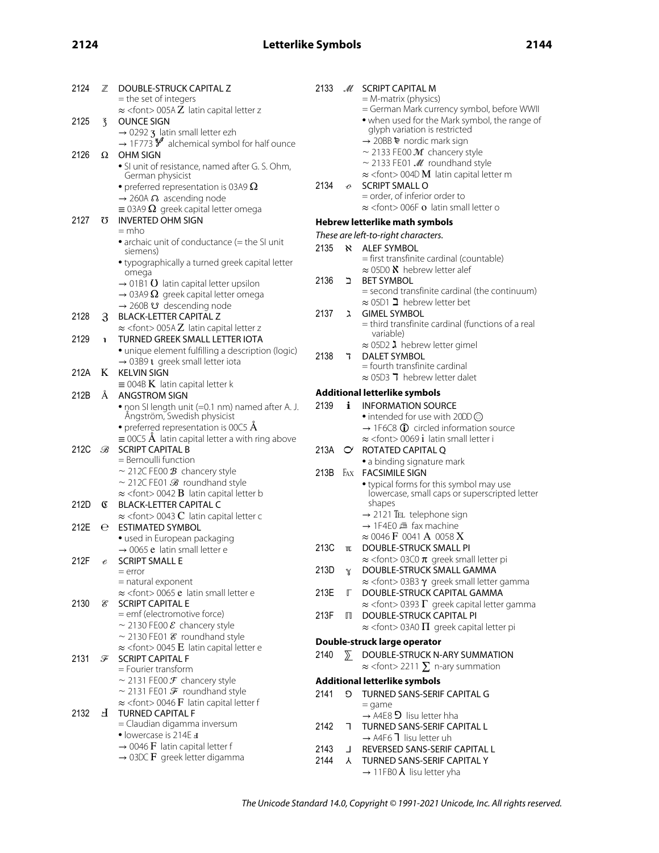# **2124 Letterlike Symbols 2144**

| 2124 | $\mathbb Z$                 | DOUBLE-STRUCK CAPITAL Z<br>= the set of integers                                                              | 2133                                                                  |               | M SCRIPT CAPITAL M<br>$=$ M-matrix (physics)                                                            |
|------|-----------------------------|---------------------------------------------------------------------------------------------------------------|-----------------------------------------------------------------------|---------------|---------------------------------------------------------------------------------------------------------|
| 2125 | $\overline{3}$              | $\approx$ <font> 005AZ latin capital letter z<br/><b>OUNCE SIGN</b></font>                                    |                                                                       |               | = German Mark currency symbol, before WWII<br>. when used for the Mark symbol, the range of             |
|      |                             | $\rightarrow$ 0292 3 latin small letter ezh                                                                   |                                                                       |               | glyph variation is restricted<br>$\rightarrow$ 20BB $\blacktriangleright$ nordic mark sign              |
| 2126 |                             | $\rightarrow$ 1F773 $\frac{2}{3}$ alchemical symbol for half ounce<br>$\Omega$ OHM SIGN                       |                                                                       |               | $\sim$ 2133 FE00 $\mathcal{M}$ chancery style                                                           |
|      |                             | · SI unit of resistance, named after G. S. Ohm,                                                               |                                                                       |               | $\sim$ 2133 FE01 $\mathcal{M}$ roundhand style                                                          |
|      |                             | German physicist                                                                                              |                                                                       |               | $\approx$ <font> 004D <b>M</b> latin capital letter m</font>                                            |
|      |                             | • preferred representation is 03A9 $\Omega$                                                                   | 2134                                                                  | $\mathcal{O}$ | <b>SCRIPT SMALL O</b>                                                                                   |
|      |                             | $\rightarrow$ 260A $\Omega$ ascending node                                                                    |                                                                       |               | = order, of inferior order to<br>$\approx$ <font> 006F o latin small letter o</font>                    |
| 2127 | Ω                           | $\equiv$ 03A9 $\Omega$ greek capital letter omega<br><b>INVERTED OHM SIGN</b>                                 |                                                                       |               |                                                                                                         |
|      |                             | $=$ mho                                                                                                       | Hebrew letterlike math symbols<br>These are left-to-right characters. |               |                                                                                                         |
|      |                             | • archaic unit of conductance (= the SI unit                                                                  | 2135                                                                  |               | <b>N</b> ALEF SYMBOL                                                                                    |
|      |                             | siemens)                                                                                                      |                                                                       |               | = first transfinite cardinal (countable)                                                                |
|      |                             | • typographically a turned greek capital letter<br>omega                                                      |                                                                       |               | $\approx$ 05D0 $\chi$ hebrew letter alef                                                                |
|      |                             | $\rightarrow$ 01B1 <b>O</b> latin capital letter upsilon                                                      | 2136                                                                  | ב             | <b>BET SYMBOL</b>                                                                                       |
|      |                             | $\rightarrow$ 03A9 $\Omega$ greek capital letter omega                                                        |                                                                       |               | = second transfinite cardinal (the continuum)<br>$\approx$ 05D1 $\blacktriangleright$ hebrew letter bet |
|      |                             | $\rightarrow$ 260B $\upsilon$ descending node                                                                 | 2137                                                                  | ゙゙゚           | <b>GIMEL SYMBOL</b>                                                                                     |
| 2128 | $\mathcal{S}_{\mathcal{S}}$ | <b>BLACK-LETTER CAPITAL Z</b><br>$\approx$ <font> 005A<math>Z</math> latin capital letter z</font>            |                                                                       |               | $=$ third transfinite cardinal (functions of a real                                                     |
| 2129 | $\mathbf{1}$                | TURNED GREEK SMALL LETTER IOTA                                                                                |                                                                       |               | variable)                                                                                               |
|      |                             | · unique element fulfilling a description (logic)                                                             |                                                                       |               | $\approx$ 05D2 $\lambda$ hebrew letter gimel                                                            |
|      |                             | $\rightarrow$ 03B9 <b>t</b> greek small letter iota                                                           | 2138                                                                  | 7             | <b>DALET SYMBOL</b><br>$=$ fourth transfinite cardinal                                                  |
| 212A | K                           | <b>KELVIN SIGN</b>                                                                                            |                                                                       |               | $\approx$ 05D3 7 hebrew letter dalet                                                                    |
| 212B | Å                           | $\equiv$ 004B <b>K</b> latin capital letter k<br><b>ANGSTROM SIGN</b>                                         | <b>Additional letterlike symbols</b>                                  |               |                                                                                                         |
|      |                             | . non SI length unit (=0.1 nm) named after A. J.                                                              | 2139                                                                  | i.            | <b>INFORMATION SOURCE</b>                                                                               |
|      |                             | Ångström, Swedish physicist                                                                                   |                                                                       |               | • intended for use with 20DD ©                                                                          |
|      |                             | • preferred representation is 00C5 $\dot{\mathbf{A}}$                                                         |                                                                       |               | $\rightarrow$ 1F6C8 $\oplus$ circled information source                                                 |
|      |                             | $\equiv$ 00C5 Å latin capital letter a with ring above                                                        |                                                                       |               | $\approx$ <font> 0069 i latin small letter i</font>                                                     |
| 212C | B                           | <b>SCRIPT CAPITAL B</b><br>$=$ Bernoulli function                                                             |                                                                       |               | 213A O ROTATED CAPITAL Q<br>• a binding signature mark                                                  |
|      |                             | ~ 212C FE00 $\mathcal B$ chancery style                                                                       | 213B                                                                  |               | FAX FACSIMILE SIGN                                                                                      |
|      |                             | $\sim$ 212C FE01 $\mathcal{B}$ roundhand style                                                                |                                                                       |               | • typical forms for this symbol may use                                                                 |
|      |                             | $\approx$ <font> 0042 <b>B</b> latin capital letter b</font>                                                  |                                                                       |               | lowercase, small caps or superscripted letter                                                           |
| 212D | C                           | <b>BLACK-LETTER CAPITAL C</b>                                                                                 |                                                                       |               | shapes<br>$\rightarrow$ 2121 TEL telephone sign                                                         |
| 212E | е                           | $\approx$ <font> 0043 <b>C</b> latin capital letter c<br/><b>ESTIMATED SYMBOL</b></font>                      |                                                                       |               | → 1F4E0 ▲ fax machine                                                                                   |
|      |                             | · used in European packaging                                                                                  |                                                                       |               | $\approx 0046 \text{ F}$ 0041 A 0058 X                                                                  |
|      |                             | $\rightarrow$ 0065 e latin small letter e                                                                     | 213C                                                                  | $\mathbb{U}$  | DOUBLE-STRUCK SMALL PI                                                                                  |
| 212F |                             | $e$ SCRIPT SMALL E                                                                                            |                                                                       |               | $\approx$ <font> 03C0 <math>\pi</math> greek small letter pi</font>                                     |
|      |                             | $=$ error<br>= natural exponent                                                                               | 213D                                                                  | $\mathbb{Y}$  | DOUBLE-STRUCK SMALL GAMMA<br>$\approx$ <font> 03B3 <math>\gamma</math> greek small letter gamma</font>  |
|      |                             | $\approx$ <font> 0065 e latin small letter e</font>                                                           | 213E                                                                  | Г             | DOUBLE-STRUCK CAPITAL GAMMA                                                                             |
| 2130 | E,                          | <b>SCRIPT CAPITAL E</b>                                                                                       |                                                                       |               | $\approx$ <font> 0393 <math>\Gamma</math> greek capital letter gamma</font>                             |
|      |                             | = emf (electromotive force)                                                                                   | 213F                                                                  | $\Box$        | DOUBLE-STRUCK CAPITAL PI                                                                                |
|      |                             | ~ 2130 FE00 $\mathcal E$ chancery style                                                                       |                                                                       |               | $\approx$ <font> 03A0 <math>\Pi</math> greek capital letter pi</font>                                   |
|      |                             | $\sim$ 2130 FE01 $\mathcal E$ roundhand style<br>$\approx$ <font> 0045 <b>E</b> latin capital letter e</font> |                                                                       |               | Double-struck large operator                                                                            |
| 2131 | F                           | <b>SCRIPT CAPITAL F</b>                                                                                       | 2140                                                                  | $\sum$        | DOUBLE-STRUCK N-ARY SUMMATION                                                                           |
|      |                             | = Fourier transform                                                                                           |                                                                       |               | $\approx$ <font> 2211 <math>\Sigma</math> n-ary summation</font>                                        |
|      |                             | ~ 2131 FE00 $\mathcal F$ chancery style                                                                       |                                                                       |               | <b>Additional letterlike symbols</b>                                                                    |
|      |                             | ~ 2131 FE01 $\mathcal F$ roundhand style<br>$\approx$ <font> 0046 <b>F</b> latin capital letter f</font>      | 2141                                                                  | O.            | TURNED SANS-SERIF CAPITAL G                                                                             |
| 2132 |                             | H TURNED CAPITAL F                                                                                            |                                                                       |               | $=$ game<br>$\rightarrow$ A4E8 <b>D</b> lisu letter hha                                                 |
|      |                             | = Claudian digamma inversum                                                                                   | 2142                                                                  | E.            | TURNED SANS-SERIF CAPITAL L                                                                             |
|      |                             | • lowercase is 214E +                                                                                         |                                                                       |               | $\rightarrow$ A4F6 1 lisu letter uh                                                                     |
|      |                             | $\rightarrow$ 0046 F latin capital letter f<br>$\rightarrow$ 03DC <b>F</b> greek letter digamma               | 2143                                                                  |               | J REVERSED SANS-SERIF CAPITAL L                                                                         |
|      |                             |                                                                                                               | 2144                                                                  |               | A TURNED SANS-SERIF CAPITAL Y                                                                           |
|      |                             |                                                                                                               |                                                                       |               | $\rightarrow$ 11FB0 $\lambda$ lisu letter yha                                                           |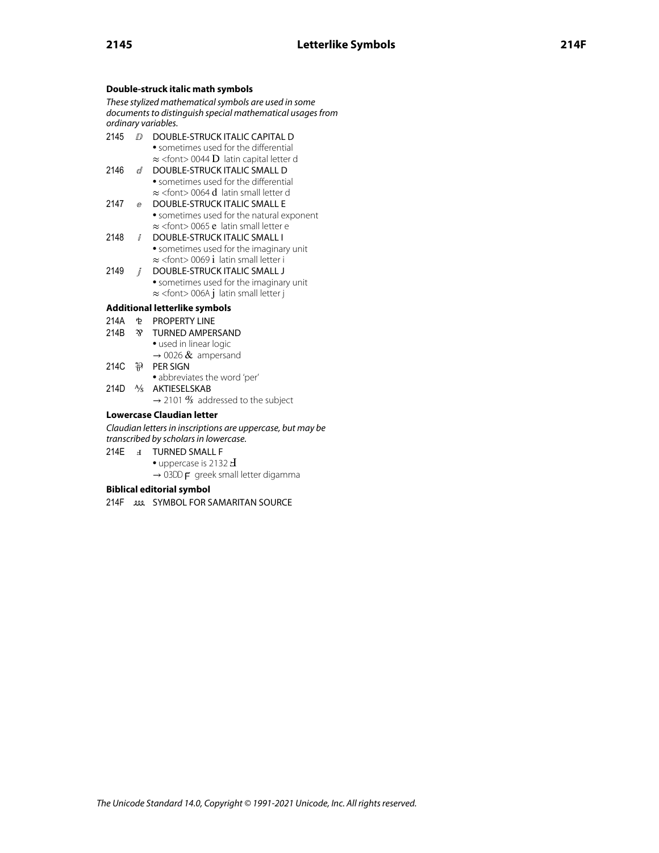## **Double-struck italic math symbols**

These stylized mathematical symbols are used in some documents to distinguish special mathematical usages from ordinary variables.

- 2145 *D* DOUBLE-STRUCK ITALIC CAPITAL D • sometimes used for the differential ≈ <font> 0044 D latin capital letter d
- 2146 d DOUBLE-STRUCK ITALIC SMALL D • sometimes used for the differential ≈ <font> 0064 d latin small letter d
- 2147 **@** DOUBLE-STRUCK ITALIC SMALL E • sometimes used for the natural exponent ≈ <font> 0065 e latin small letter e
- 2148 *ⅈ* DOUBLE-STRUCK ITALIC SMALL I • sometimes used for the imaginary unit ≈ <font> 0069 i latin small letter i
- 2149 *j* DOUBLE-STRUCK ITALIC SMALL J • sometimes used for the imaginary unit ≈ <font> 006A j latin small letter j

## **Additional letterlike symbols**

- 214A ⅊ PROPERTY LINE
- 214B <sup>3</sup> TURNED AMPERSAND
	- used in linear logic
	- $\rightarrow$  0026 & ampersand
- 214C ⅌ PER SIGN • abbreviates the word 'per'
- 214D ⅍ AKTIESELSKAB
	- $\rightarrow$  2101 % addressed to the subject

## **Lowercase Claudian letter**

Claudian letters in inscriptions are uppercase, but may be transcribed by scholars in lowercase.

- 214E **a** TURNED SMALL F
	- uppercase is 2132  $\pm$
	- $\rightarrow$  03DD  $\mathsf{F}$  greek small letter digamma

## **Biblical editorial symbol**

214F *SYMBOL FOR SAMARITAN SOURCE*